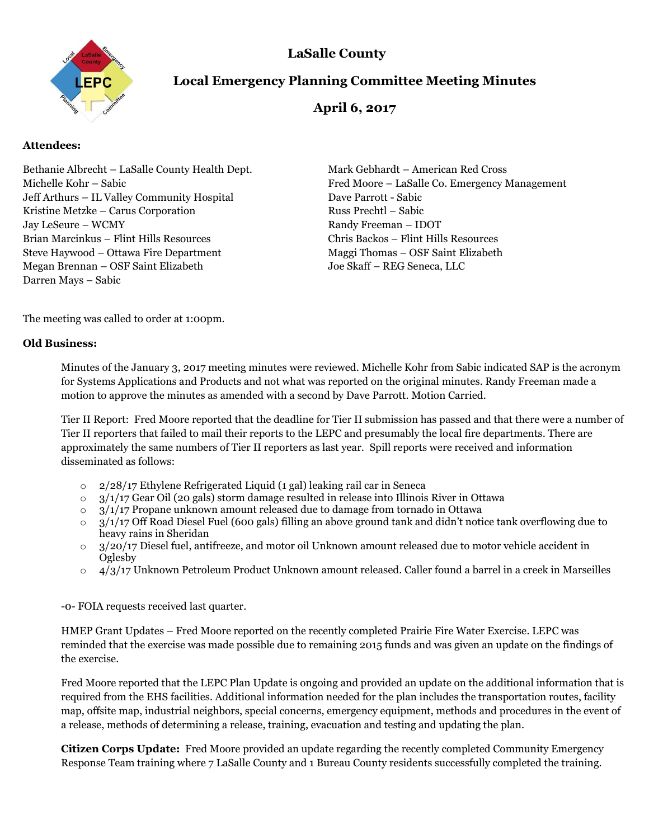

# **LaSalle County**

# **Local Emergency Planning Committee Meeting Minutes**

## **April 6, 2017**

#### **Attendees:**

Bethanie Albrecht – LaSalle County Health Dept. Mark Gebhardt – American Red Cross Jeff Arthurs – IL Valley Community Hospital Dave Parrott - Sabic Kristine Metzke – Carus Corporation Russ Prechtl – Sabic Jay LeSeure – WCMY Randy Freeman – IDOT Brian Marcinkus – Flint Hills Resources Chris Backos – Flint Hills Resources Steve Haywood – Ottawa Fire Department Maggi Thomas – OSF Saint Elizabeth Megan Brennan – OSF Saint Elizabeth Joe Skaff – REG Seneca, LLC Darren Mays – Sabic

Michelle Kohr – Sabic Fred Moore – LaSalle Co. Emergency Management

The meeting was called to order at 1:00pm.

#### **Old Business:**

Minutes of the January 3, 2017 meeting minutes were reviewed. Michelle Kohr from Sabic indicated SAP is the acronym for Systems Applications and Products and not what was reported on the original minutes. Randy Freeman made a motion to approve the minutes as amended with a second by Dave Parrott. Motion Carried.

Tier II Report: Fred Moore reported that the deadline for Tier II submission has passed and that there were a number of Tier II reporters that failed to mail their reports to the LEPC and presumably the local fire departments. There are approximately the same numbers of Tier II reporters as last year. Spill reports were received and information disseminated as follows:

- o 2/28/17 Ethylene Refrigerated Liquid (1 gal) leaking rail car in Seneca
- $\degree$  3/1/17 Gear Oil (20 gals) storm damage resulted in release into Illinois River in Ottawa
- $\circ$  3/1/17 Propane unknown amount released due to damage from tornado in Ottawa
- $\circ$  3/1/17 Off Road Diesel Fuel (600 gals) filling an above ground tank and didn't notice tank overflowing due to heavy rains in Sheridan
- $\circ$  3/20/17 Diesel fuel, antifreeze, and motor oil Unknown amount released due to motor vehicle accident in Oglesby
- o 4/3/17 Unknown Petroleum Product Unknown amount released. Caller found a barrel in a creek in Marseilles

-0- FOIA requests received last quarter.

HMEP Grant Updates – Fred Moore reported on the recently completed Prairie Fire Water Exercise. LEPC was reminded that the exercise was made possible due to remaining 2015 funds and was given an update on the findings of the exercise.

Fred Moore reported that the LEPC Plan Update is ongoing and provided an update on the additional information that is required from the EHS facilities. Additional information needed for the plan includes the transportation routes, facility map, offsite map, industrial neighbors, special concerns, emergency equipment, methods and procedures in the event of a release, methods of determining a release, training, evacuation and testing and updating the plan.

**Citizen Corps Update:** Fred Moore provided an update regarding the recently completed Community Emergency Response Team training where 7 LaSalle County and 1 Bureau County residents successfully completed the training.